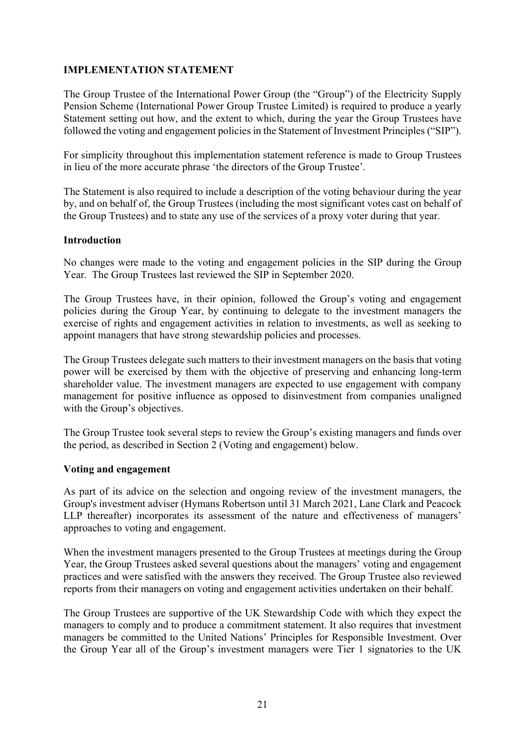## IMPLEMENTATION STATEMENT

The Group Trustee of the International Power Group (the "Group") of the Electricity Supply Pension Scheme (International Power Group Trustee Limited) is required to produce a yearly Statement setting out how, and the extent to which, during the year the Group Trustees have followed the voting and engagement policies in the Statement of Investment Principles ("SIP").

For simplicity throughout this implementation statement reference is made to Group Trustees in lieu of the more accurate phrase 'the directors of the Group Trustee'.

The Statement is also required to include a description of the voting behaviour during the year by, and on behalf of, the Group Trustees (including the most significant votes cast on behalf of the Group Trustees) and to state any use of the services of a proxy voter during that year.

### Introduction

No changes were made to the voting and engagement policies in the SIP during the Group Year. The Group Trustees last reviewed the SIP in September 2020.

The Group Trustees have, in their opinion, followed the Group's voting and engagement policies during the Group Year, by continuing to delegate to the investment managers the exercise of rights and engagement activities in relation to investments, as well as seeking to appoint managers that have strong stewardship policies and processes.

The Group Trustees delegate such matters to their investment managers on the basis that voting power will be exercised by them with the objective of preserving and enhancing long-term shareholder value. The investment managers are expected to use engagement with company management for positive influence as opposed to disinvestment from companies unaligned with the Group's objectives.

The Group Trustee took several steps to review the Group's existing managers and funds over the period, as described in Section 2 (Voting and engagement) below.

#### Voting and engagement

As part of its advice on the selection and ongoing review of the investment managers, the Group's investment adviser (Hymans Robertson until 31 March 2021, Lane Clark and Peacock LLP thereafter) incorporates its assessment of the nature and effectiveness of managers' approaches to voting and engagement.

When the investment managers presented to the Group Trustees at meetings during the Group Year, the Group Trustees asked several questions about the managers' voting and engagement practices and were satisfied with the answers they received. The Group Trustee also reviewed reports from their managers on voting and engagement activities undertaken on their behalf.

The Group Trustees are supportive of the UK Stewardship Code with which they expect the managers to comply and to produce a commitment statement. It also requires that investment managers be committed to the United Nations' Principles for Responsible Investment. Over the Group Year all of the Group's investment managers were Tier 1 signatories to the UK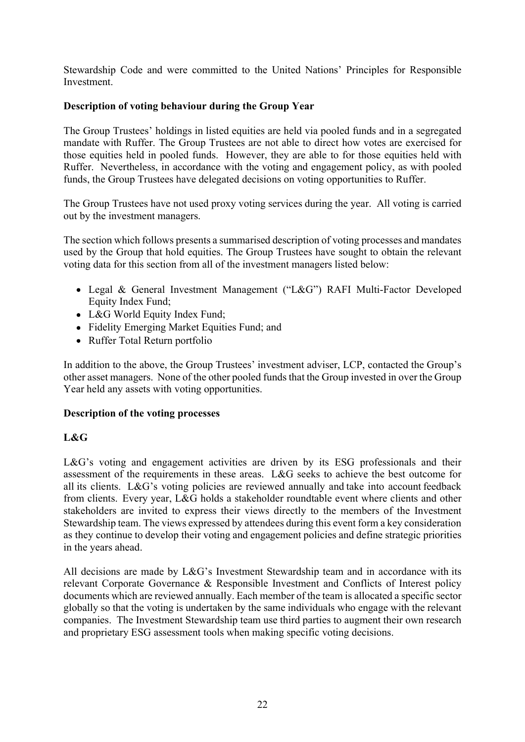Stewardship Code and were committed to the United Nations' Principles for Responsible Investment.

# Description of voting behaviour during the Group Year

The Group Trustees' holdings in listed equities are held via pooled funds and in a segregated mandate with Ruffer. The Group Trustees are not able to direct how votes are exercised for those equities held in pooled funds. However, they are able to for those equities held with Ruffer. Nevertheless, in accordance with the voting and engagement policy, as with pooled funds, the Group Trustees have delegated decisions on voting opportunities to Ruffer.

The Group Trustees have not used proxy voting services during the year. All voting is carried out by the investment managers.

The section which follows presents a summarised description of voting processes and mandates used by the Group that hold equities. The Group Trustees have sought to obtain the relevant voting data for this section from all of the investment managers listed below:

- Legal & General Investment Management ("L&G") RAFI Multi-Factor Developed Equity Index Fund;
- L&G World Equity Index Fund:
- Fidelity Emerging Market Equities Fund; and
- Ruffer Total Return portfolio

In addition to the above, the Group Trustees' investment adviser, LCP, contacted the Group's other asset managers. None of the other pooled funds that the Group invested in over the Group Year held any assets with voting opportunities.

## Description of the voting processes

## L&G

 $L&G$ 's voting and engagement activities are driven by its ESG professionals and their assessment of the requirements in these areas. L&G seeks to achieve the best outcome for all its clients. L&G's voting policies are reviewed annually and take into account feedback from clients. Every year, L&G holds a stakeholder roundtable event where clients and other stakeholders are invited to express their views directly to the members of the Investment Stewardship team. The views expressed by attendees during this event form a key consideration as they continue to develop their voting and engagement policies and define strategic priorities in the years ahead.

All decisions are made by  $L&G$ 's Investment Stewardship team and in accordance with its relevant Corporate Governance & Responsible Investment and Conflicts of Interest policy documents which are reviewed annually. Each member of the team is allocated a specific sector globally so that the voting is undertaken by the same individuals who engage with the relevant companies. The Investment Stewardship team use third parties to augment their own research and proprietary ESG assessment tools when making specific voting decisions.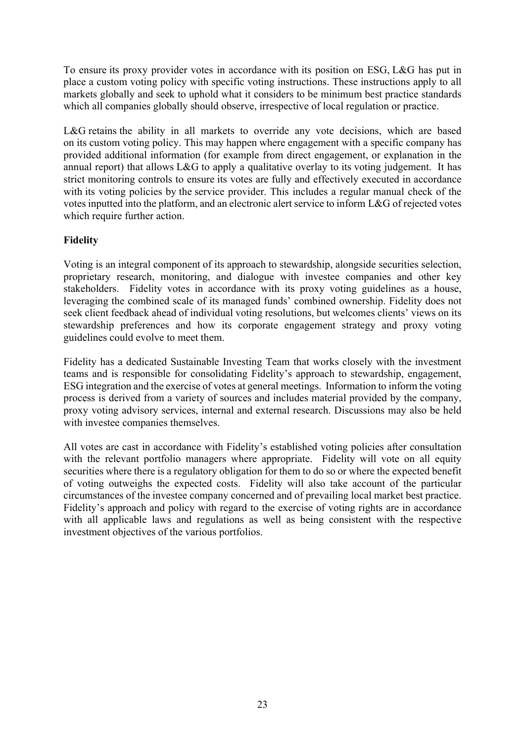To ensure its proxy provider votes in accordance with its position on ESG, L&G has put in place a custom voting policy with specific voting instructions. These instructions apply to all markets globally and seek to uphold what it considers to be minimum best practice standards which all companies globally should observe, irrespective of local regulation or practice.

L&G retains the ability in all markets to override any vote decisions, which are based on its custom voting policy. This may happen where engagement with a specific company has provided additional information (for example from direct engagement, or explanation in the annual report) that allows L&G to apply a qualitative overlay to its voting judgement. It has strict monitoring controls to ensure its votes are fully and effectively executed in accordance with its voting policies by the service provider. This includes a regular manual check of the votes inputted into the platform, and an electronic alert service to inform L&G of rejected votes which require further action.

## Fidelity

Voting is an integral component of its approach to stewardship, alongside securities selection, proprietary research, monitoring, and dialogue with investee companies and other key stakeholders. Fidelity votes in accordance with its proxy voting guidelines as a house, leveraging the combined scale of its managed funds' combined ownership. Fidelity does not seek client feedback ahead of individual voting resolutions, but welcomes clients' views on its stewardship preferences and how its corporate engagement strategy and proxy voting guidelines could evolve to meet them.

Fidelity has a dedicated Sustainable Investing Team that works closely with the investment teams and is responsible for consolidating Fidelity's approach to stewardship, engagement, ESG integration and the exercise of votes at general meetings. Information to inform the voting process is derived from a variety of sources and includes material provided by the company, proxy voting advisory services, internal and external research. Discussions may also be held with investee companies themselves.

All votes are cast in accordance with Fidelity's established voting policies after consultation with the relevant portfolio managers where appropriate. Fidelity will vote on all equity securities where there is a regulatory obligation for them to do so or where the expected benefit of voting outweighs the expected costs. Fidelity will also take account of the particular circumstances of the investee company concerned and of prevailing local market best practice. Fidelity's approach and policy with regard to the exercise of voting rights are in accordance with all applicable laws and regulations as well as being consistent with the respective investment objectives of the various portfolios.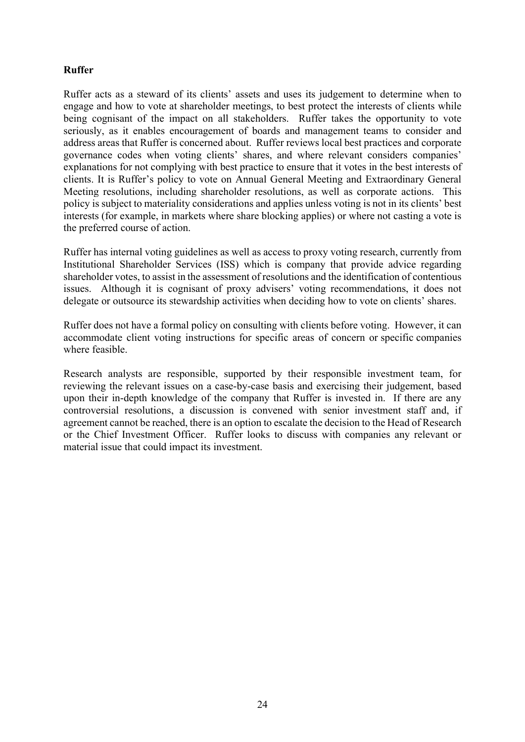## Ruffer

Ruffer acts as a steward of its clients' assets and uses its judgement to determine when to engage and how to vote at shareholder meetings, to best protect the interests of clients while being cognisant of the impact on all stakeholders. Ruffer takes the opportunity to vote seriously, as it enables encouragement of boards and management teams to consider and address areas that Ruffer is concerned about. Ruffer reviews local best practices and corporate governance codes when voting clients' shares, and where relevant considers companies' explanations for not complying with best practice to ensure that it votes in the best interests of clients. It is Ruffer's policy to vote on Annual General Meeting and Extraordinary General Meeting resolutions, including shareholder resolutions, as well as corporate actions. This policy is subject to materiality considerations and applies unless voting is not in its clients' best interests (for example, in markets where share blocking applies) or where not casting a vote is the preferred course of action.

Ruffer has internal voting guidelines as well as access to proxy voting research, currently from Institutional Shareholder Services (ISS) which is company that provide advice regarding shareholder votes, to assist in the assessment of resolutions and the identification of contentious issues. Although it is cognisant of proxy advisers' voting recommendations, it does not delegate or outsource its stewardship activities when deciding how to vote on clients' shares.

Ruffer does not have a formal policy on consulting with clients before voting. However, it can accommodate client voting instructions for specific areas of concern or specific companies where feasible.

Research analysts are responsible, supported by their responsible investment team, for reviewing the relevant issues on a case-by-case basis and exercising their judgement, based upon their in-depth knowledge of the company that Ruffer is invested in. If there are any controversial resolutions, a discussion is convened with senior investment staff and, if agreement cannot be reached, there is an option to escalate the decision to the Head of Research or the Chief Investment Officer. Ruffer looks to discuss with companies any relevant or material issue that could impact its investment.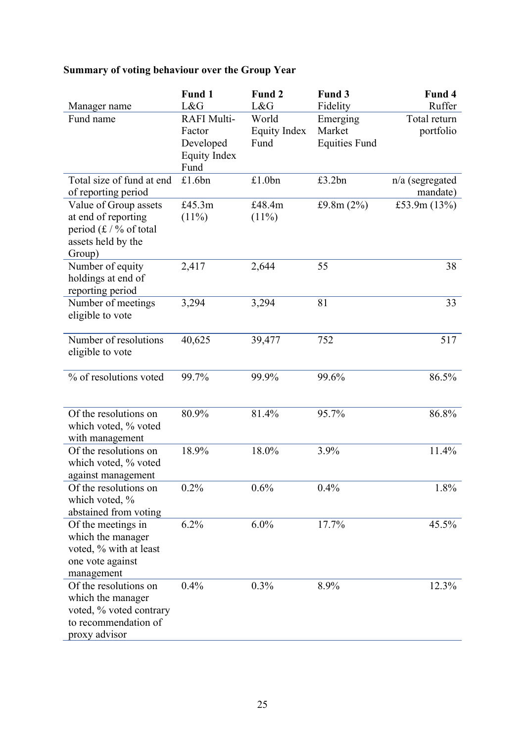# Summary of voting behaviour over the Group Year

| L&G<br>L&G<br>Ruffer<br>Fidelity<br>Manager name<br>Fund name<br><b>RAFI Multi-</b><br>Total return<br>World<br>Emerging<br>Market<br><b>Equity Index</b><br>portfolio<br>Factor<br>Fund<br><b>Equities Fund</b><br>Developed<br><b>Equity Index</b><br>Fund<br>Total size of fund at end<br>£1.6bn<br>£1.0bn<br>£3.2bn<br>n/a (segregated<br>of reporting period<br>mandate)<br>Value of Group assets<br>£45.3m<br>£48.4m<br>£9.8m $(2%)$<br>£53.9m $(13%)$<br>at end of reporting<br>$(11\%)$<br>$(11\%)$<br>period $(f / \%$ of total<br>assets held by the<br>Group)<br>2,417<br>55<br>2,644<br>38<br>Number of equity<br>holdings at end of |
|--------------------------------------------------------------------------------------------------------------------------------------------------------------------------------------------------------------------------------------------------------------------------------------------------------------------------------------------------------------------------------------------------------------------------------------------------------------------------------------------------------------------------------------------------------------------------------------------------------------------------------------------------|
|                                                                                                                                                                                                                                                                                                                                                                                                                                                                                                                                                                                                                                                  |
|                                                                                                                                                                                                                                                                                                                                                                                                                                                                                                                                                                                                                                                  |
|                                                                                                                                                                                                                                                                                                                                                                                                                                                                                                                                                                                                                                                  |
|                                                                                                                                                                                                                                                                                                                                                                                                                                                                                                                                                                                                                                                  |
|                                                                                                                                                                                                                                                                                                                                                                                                                                                                                                                                                                                                                                                  |
|                                                                                                                                                                                                                                                                                                                                                                                                                                                                                                                                                                                                                                                  |
|                                                                                                                                                                                                                                                                                                                                                                                                                                                                                                                                                                                                                                                  |
|                                                                                                                                                                                                                                                                                                                                                                                                                                                                                                                                                                                                                                                  |
|                                                                                                                                                                                                                                                                                                                                                                                                                                                                                                                                                                                                                                                  |
|                                                                                                                                                                                                                                                                                                                                                                                                                                                                                                                                                                                                                                                  |
|                                                                                                                                                                                                                                                                                                                                                                                                                                                                                                                                                                                                                                                  |
|                                                                                                                                                                                                                                                                                                                                                                                                                                                                                                                                                                                                                                                  |
|                                                                                                                                                                                                                                                                                                                                                                                                                                                                                                                                                                                                                                                  |
|                                                                                                                                                                                                                                                                                                                                                                                                                                                                                                                                                                                                                                                  |
| reporting period                                                                                                                                                                                                                                                                                                                                                                                                                                                                                                                                                                                                                                 |
| 33<br>Number of meetings<br>3,294<br>3,294<br>81                                                                                                                                                                                                                                                                                                                                                                                                                                                                                                                                                                                                 |
| eligible to vote                                                                                                                                                                                                                                                                                                                                                                                                                                                                                                                                                                                                                                 |
|                                                                                                                                                                                                                                                                                                                                                                                                                                                                                                                                                                                                                                                  |
| Number of resolutions<br>517<br>40,625<br>39,477<br>752                                                                                                                                                                                                                                                                                                                                                                                                                                                                                                                                                                                          |
| eligible to vote                                                                                                                                                                                                                                                                                                                                                                                                                                                                                                                                                                                                                                 |
|                                                                                                                                                                                                                                                                                                                                                                                                                                                                                                                                                                                                                                                  |
| 86.5%<br>% of resolutions voted<br>99.7%<br>99.6%<br>99.9%                                                                                                                                                                                                                                                                                                                                                                                                                                                                                                                                                                                       |
|                                                                                                                                                                                                                                                                                                                                                                                                                                                                                                                                                                                                                                                  |
|                                                                                                                                                                                                                                                                                                                                                                                                                                                                                                                                                                                                                                                  |
| 95.7%<br>86.8%<br>Of the resolutions on<br>80.9%<br>81.4%                                                                                                                                                                                                                                                                                                                                                                                                                                                                                                                                                                                        |
| which voted, % voted                                                                                                                                                                                                                                                                                                                                                                                                                                                                                                                                                                                                                             |
| with management                                                                                                                                                                                                                                                                                                                                                                                                                                                                                                                                                                                                                                  |
| 18.0%<br>11.4%<br>Of the resolutions on<br>18.9%<br>3.9%                                                                                                                                                                                                                                                                                                                                                                                                                                                                                                                                                                                         |
| which voted, % voted                                                                                                                                                                                                                                                                                                                                                                                                                                                                                                                                                                                                                             |
| against management                                                                                                                                                                                                                                                                                                                                                                                                                                                                                                                                                                                                                               |
| 0.2%<br>0.6%<br>0.4%<br>Of the resolutions on<br>1.8%<br>which voted, %                                                                                                                                                                                                                                                                                                                                                                                                                                                                                                                                                                          |
| abstained from voting                                                                                                                                                                                                                                                                                                                                                                                                                                                                                                                                                                                                                            |
| 6.2%<br>6.0%<br>17.7%<br>Of the meetings in<br>45.5%                                                                                                                                                                                                                                                                                                                                                                                                                                                                                                                                                                                             |
| which the manager                                                                                                                                                                                                                                                                                                                                                                                                                                                                                                                                                                                                                                |
| voted, % with at least                                                                                                                                                                                                                                                                                                                                                                                                                                                                                                                                                                                                                           |
| one vote against                                                                                                                                                                                                                                                                                                                                                                                                                                                                                                                                                                                                                                 |
| management                                                                                                                                                                                                                                                                                                                                                                                                                                                                                                                                                                                                                                       |
| 0.4%<br>Of the resolutions on<br>0.3%<br>8.9%<br>12.3%                                                                                                                                                                                                                                                                                                                                                                                                                                                                                                                                                                                           |
| which the manager                                                                                                                                                                                                                                                                                                                                                                                                                                                                                                                                                                                                                                |
| voted, % voted contrary                                                                                                                                                                                                                                                                                                                                                                                                                                                                                                                                                                                                                          |
| to recommendation of                                                                                                                                                                                                                                                                                                                                                                                                                                                                                                                                                                                                                             |
| proxy advisor                                                                                                                                                                                                                                                                                                                                                                                                                                                                                                                                                                                                                                    |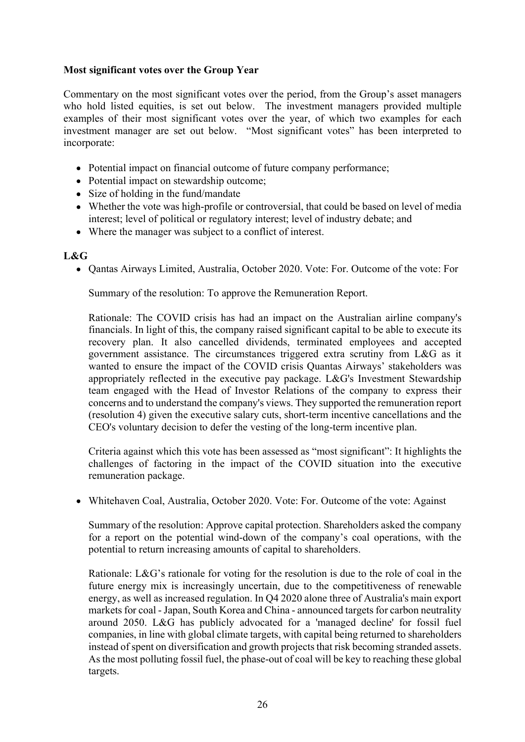## Most significant votes over the Group Year

Commentary on the most significant votes over the period, from the Group's asset managers who hold listed equities, is set out below. The investment managers provided multiple examples of their most significant votes over the year, of which two examples for each investment manager are set out below. "Most significant votes" has been interpreted to incorporate:

- Potential impact on financial outcome of future company performance;
- Potential impact on stewardship outcome;
- Size of holding in the fund/mandate
- Whether the vote was high-profile or controversial, that could be based on level of media interest; level of political or regulatory interest; level of industry debate; and
- Where the manager was subject to a conflict of interest.

## L&G

• Oantas Airways Limited, Australia, October 2020. Vote: For. Outcome of the vote: For

Summary of the resolution: To approve the Remuneration Report.

Rationale: The COVID crisis has had an impact on the Australian airline company's financials. In light of this, the company raised significant capital to be able to execute its recovery plan. It also cancelled dividends, terminated employees and accepted government assistance. The circumstances triggered extra scrutiny from L&G as it wanted to ensure the impact of the COVID crisis Quantas Airways' stakeholders was appropriately reflected in the executive pay package. L&G's Investment Stewardship team engaged with the Head of Investor Relations of the company to express their concerns and to understand the company's views. They supported the remuneration report (resolution 4) given the executive salary cuts, short-term incentive cancellations and the CEO's voluntary decision to defer the vesting of the long-term incentive plan.

Criteria against which this vote has been assessed as "most significant": It highlights the challenges of factoring in the impact of the COVID situation into the executive remuneration package.

Whitehaven Coal, Australia, October 2020. Vote: For. Outcome of the vote: Against

Summary of the resolution: Approve capital protection. Shareholders asked the company for a report on the potential wind-down of the company's coal operations, with the potential to return increasing amounts of capital to shareholders.

Rationale: L&G's rationale for voting for the resolution is due to the role of coal in the future energy mix is increasingly uncertain, due to the competitiveness of renewable energy, as well as increased regulation. In Q4 2020 alone three of Australia's main export markets for coal - Japan, South Korea and China - announced targets for carbon neutrality around 2050. L&G has publicly advocated for a 'managed decline' for fossil fuel companies, in line with global climate targets, with capital being returned to shareholders instead of spent on diversification and growth projects that risk becoming stranded assets. As the most polluting fossil fuel, the phase-out of coal will be key to reaching these global targets.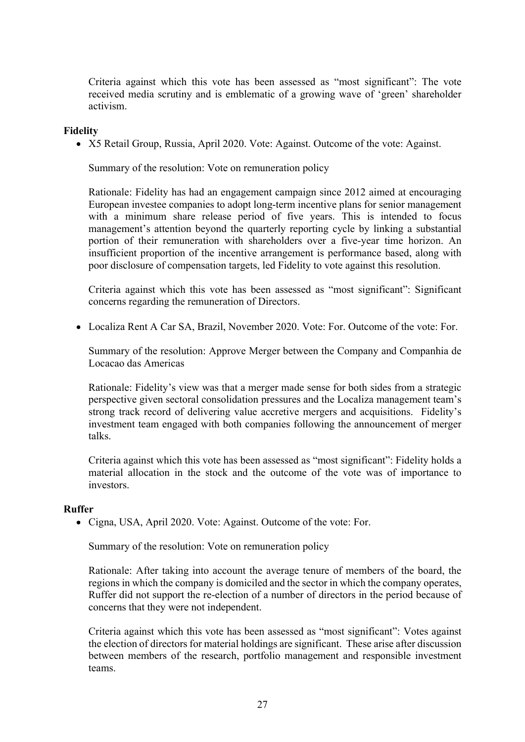Criteria against which this vote has been assessed as "most significant": The vote received media scrutiny and is emblematic of a growing wave of 'green' shareholder activism.

### Fidelity

X5 Retail Group, Russia, April 2020. Vote: Against. Outcome of the vote: Against.

Summary of the resolution: Vote on remuneration policy

Rationale: Fidelity has had an engagement campaign since 2012 aimed at encouraging European investee companies to adopt long-term incentive plans for senior management with a minimum share release period of five years. This is intended to focus management's attention beyond the quarterly reporting cycle by linking a substantial portion of their remuneration with shareholders over a five-year time horizon. An insufficient proportion of the incentive arrangement is performance based, along with poor disclosure of compensation targets, led Fidelity to vote against this resolution.

Criteria against which this vote has been assessed as "most significant": Significant concerns regarding the remuneration of Directors.

Localiza Rent A Car SA, Brazil, November 2020. Vote: For. Outcome of the vote: For.

Summary of the resolution: Approve Merger between the Company and Companhia de Locacao das Americas

Rationale: Fidelity's view was that a merger made sense for both sides from a strategic perspective given sectoral consolidation pressures and the Localiza management team's strong track record of delivering value accretive mergers and acquisitions. Fidelity's investment team engaged with both companies following the announcement of merger talks.

Criteria against which this vote has been assessed as "most significant": Fidelity holds a material allocation in the stock and the outcome of the vote was of importance to investors.

#### Ruffer

• Cigna, USA, April 2020. Vote: Against. Outcome of the vote: For.

Summary of the resolution: Vote on remuneration policy

Rationale: After taking into account the average tenure of members of the board, the regions in which the company is domiciled and the sector in which the company operates, Ruffer did not support the re-election of a number of directors in the period because of concerns that they were not independent.

Criteria against which this vote has been assessed as "most significant": Votes against the election of directors for material holdings are significant. These arise after discussion between members of the research, portfolio management and responsible investment teams.